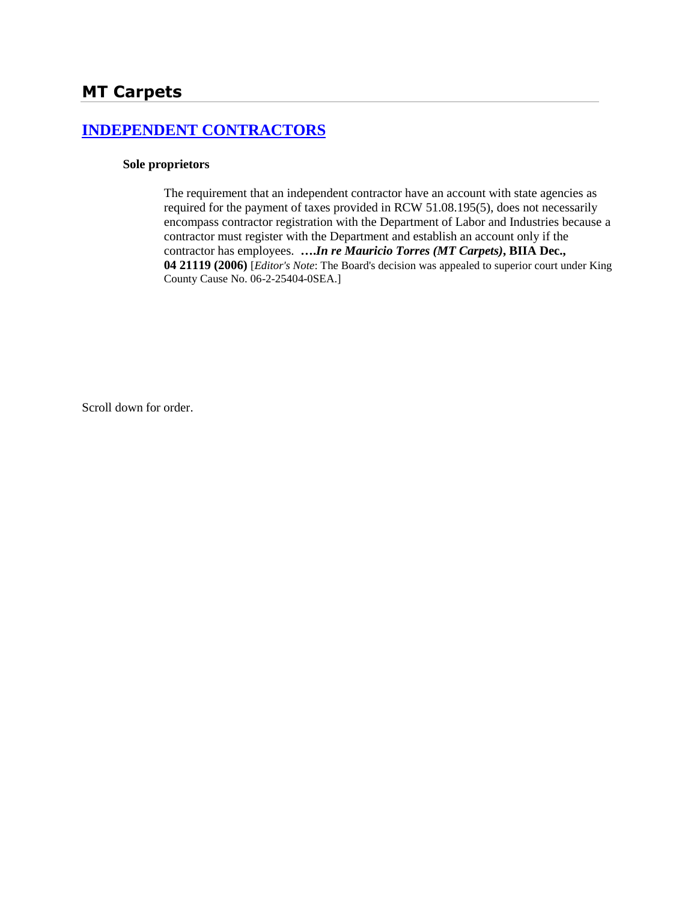# **[INDEPENDENT CONTRACTORS](http://www.biia.wa.gov/SDSubjectIndex.html#INDEPENDENT_CONTRACTORS)**

#### **Sole proprietors**

The requirement that an independent contractor have an account with state agencies as required for the payment of taxes provided in RCW 51.08.195(5), does not necessarily encompass contractor registration with the Department of Labor and Industries because a contractor must register with the Department and establish an account only if the contractor has employees. **….***In re Mauricio Torres (MT Carpets)***, BIIA Dec., 04 21119 (2006)** [*Editor's Note*: The Board's decision was appealed to superior court under King County Cause No. 06-2-25404-0SEA.]

Scroll down for order.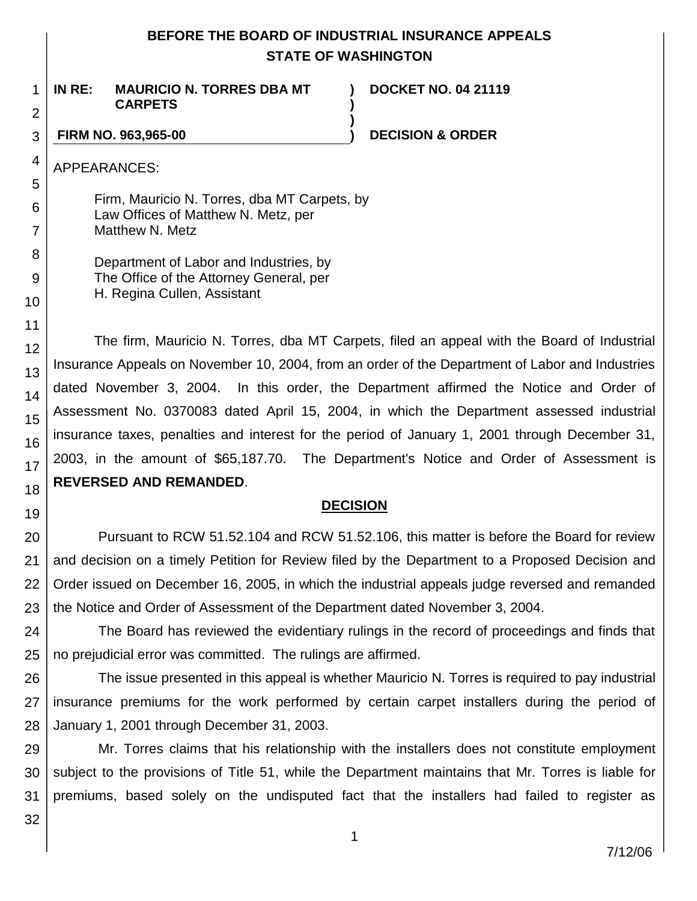# **BEFORE THE BOARD OF INDUSTRIAL INSURANCE APPEALS STATE OF WASHINGTON**

**) )**

**)**

1 2 **IN RE: MAURICIO N. TORRES DBA MT CARPETS**

**DOCKET NO. 04 21119**

### 3

### **FIRM NO. 963,965-00 ) DECISION & ORDER**

APPEARANCES:

4

5

6

7

8

9

10

11 12

13

14

15

16

17

18

19

Firm, Mauricio N. Torres, dba MT Carpets, by Law Offices of Matthew N. Metz, per Matthew N. Metz

Department of Labor and Industries, by The Office of the Attorney General, per H. Regina Cullen, Assistant

The firm, Mauricio N. Torres, dba MT Carpets, filed an appeal with the Board of Industrial Insurance Appeals on November 10, 2004, from an order of the Department of Labor and Industries dated November 3, 2004. In this order, the Department affirmed the Notice and Order of Assessment No. 0370083 dated April 15, 2004, in which the Department assessed industrial insurance taxes, penalties and interest for the period of January 1, 2001 through December 31, 2003, in the amount of \$65,187.70. The Department's Notice and Order of Assessment is **REVERSED AND REMANDED**.

# **DECISION**

20 21 22 23 Pursuant to RCW 51.52.104 and RCW 51.52.106, this matter is before the Board for review and decision on a timely Petition for Review filed by the Department to a Proposed Decision and Order issued on December 16, 2005, in which the industrial appeals judge reversed and remanded the Notice and Order of Assessment of the Department dated November 3, 2004.

24 25 The Board has reviewed the evidentiary rulings in the record of proceedings and finds that no prejudicial error was committed. The rulings are affirmed.

26 27 28 The issue presented in this appeal is whether Mauricio N. Torres is required to pay industrial insurance premiums for the work performed by certain carpet installers during the period of January 1, 2001 through December 31, 2003.

29 30 31 Mr. Torres claims that his relationship with the installers does not constitute employment subject to the provisions of Title 51, while the Department maintains that Mr. Torres is liable for premiums, based solely on the undisputed fact that the installers had failed to register as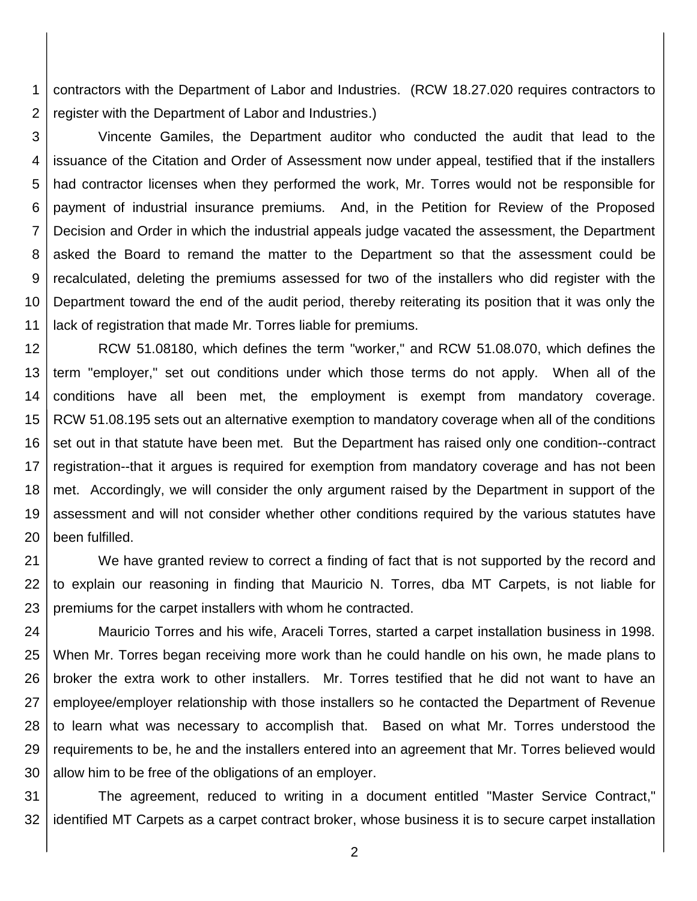1 2 contractors with the Department of Labor and Industries. (RCW 18.27.020 requires contractors to register with the Department of Labor and Industries.)

3 4 5 6 7 8 9 10 11 Vincente Gamiles, the Department auditor who conducted the audit that lead to the issuance of the Citation and Order of Assessment now under appeal, testified that if the installers had contractor licenses when they performed the work, Mr. Torres would not be responsible for payment of industrial insurance premiums. And, in the Petition for Review of the Proposed Decision and Order in which the industrial appeals judge vacated the assessment, the Department asked the Board to remand the matter to the Department so that the assessment could be recalculated, deleting the premiums assessed for two of the installers who did register with the Department toward the end of the audit period, thereby reiterating its position that it was only the lack of registration that made Mr. Torres liable for premiums.

12 13 14 15 16 17 18 19 20 RCW 51.08180, which defines the term "worker," and RCW 51.08.070, which defines the term "employer," set out conditions under which those terms do not apply. When all of the conditions have all been met, the employment is exempt from mandatory coverage. RCW 51.08.195 sets out an alternative exemption to mandatory coverage when all of the conditions set out in that statute have been met. But the Department has raised only one condition--contract registration--that it argues is required for exemption from mandatory coverage and has not been met. Accordingly, we will consider the only argument raised by the Department in support of the assessment and will not consider whether other conditions required by the various statutes have been fulfilled.

21 22 23 We have granted review to correct a finding of fact that is not supported by the record and to explain our reasoning in finding that Mauricio N. Torres, dba MT Carpets, is not liable for premiums for the carpet installers with whom he contracted.

24 25 26 27 28 29 30 Mauricio Torres and his wife, Araceli Torres, started a carpet installation business in 1998. When Mr. Torres began receiving more work than he could handle on his own, he made plans to broker the extra work to other installers. Mr. Torres testified that he did not want to have an employee/employer relationship with those installers so he contacted the Department of Revenue to learn what was necessary to accomplish that. Based on what Mr. Torres understood the requirements to be, he and the installers entered into an agreement that Mr. Torres believed would allow him to be free of the obligations of an employer.

31 32 The agreement, reduced to writing in a document entitled "Master Service Contract," identified MT Carpets as a carpet contract broker, whose business it is to secure carpet installation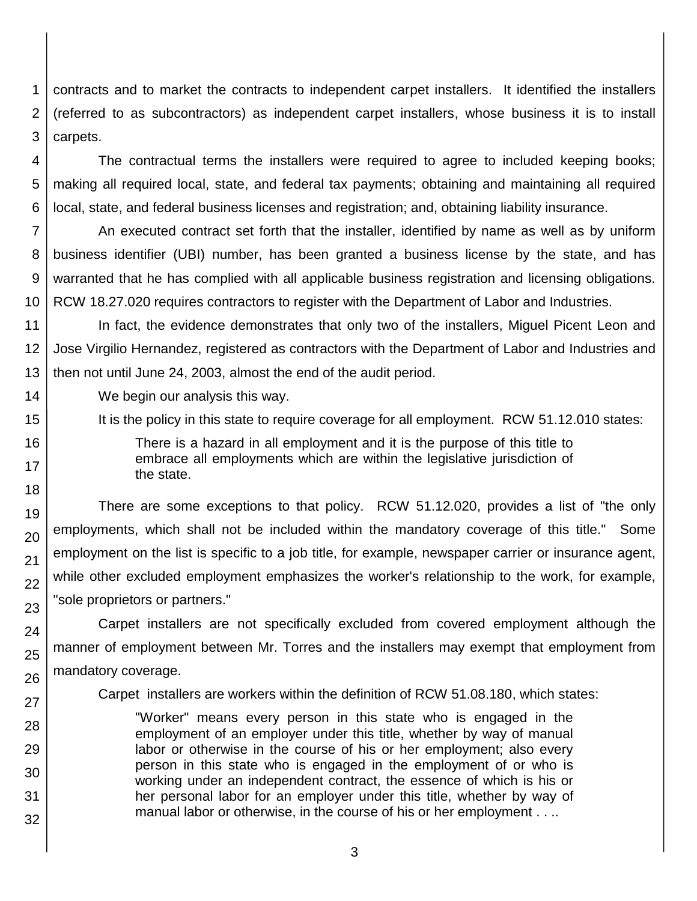1 2 3 contracts and to market the contracts to independent carpet installers. It identified the installers (referred to as subcontractors) as independent carpet installers, whose business it is to install carpets.

4 5 6 The contractual terms the installers were required to agree to included keeping books; making all required local, state, and federal tax payments; obtaining and maintaining all required local, state, and federal business licenses and registration; and, obtaining liability insurance.

7 8 9 10 An executed contract set forth that the installer, identified by name as well as by uniform business identifier (UBI) number, has been granted a business license by the state, and has warranted that he has complied with all applicable business registration and licensing obligations. RCW 18.27.020 requires contractors to register with the Department of Labor and Industries.

11 12 13 In fact, the evidence demonstrates that only two of the installers, Miguel Picent Leon and Jose Virgilio Hernandez, registered as contractors with the Department of Labor and Industries and then not until June 24, 2003, almost the end of the audit period.

We begin our analysis this way.

14

15

16

17 18

19

20

21

22

23

24

25

26

27

28

29 30

31

32

It is the policy in this state to require coverage for all employment. RCW 51.12.010 states:

There is a hazard in all employment and it is the purpose of this title to embrace all employments which are within the legislative jurisdiction of the state.

There are some exceptions to that policy. RCW 51.12.020, provides a list of "the only employments, which shall not be included within the mandatory coverage of this title." Some employment on the list is specific to a job title, for example, newspaper carrier or insurance agent, while other excluded employment emphasizes the worker's relationship to the work, for example, "sole proprietors or partners."

Carpet installers are not specifically excluded from covered employment although the manner of employment between Mr. Torres and the installers may exempt that employment from mandatory coverage.

Carpet installers are workers within the definition of RCW 51.08.180, which states:

"Worker" means every person in this state who is engaged in the employment of an employer under this title, whether by way of manual labor or otherwise in the course of his or her employment; also every person in this state who is engaged in the employment of or who is working under an independent contract, the essence of which is his or her personal labor for an employer under this title, whether by way of manual labor or otherwise, in the course of his or her employment . . ..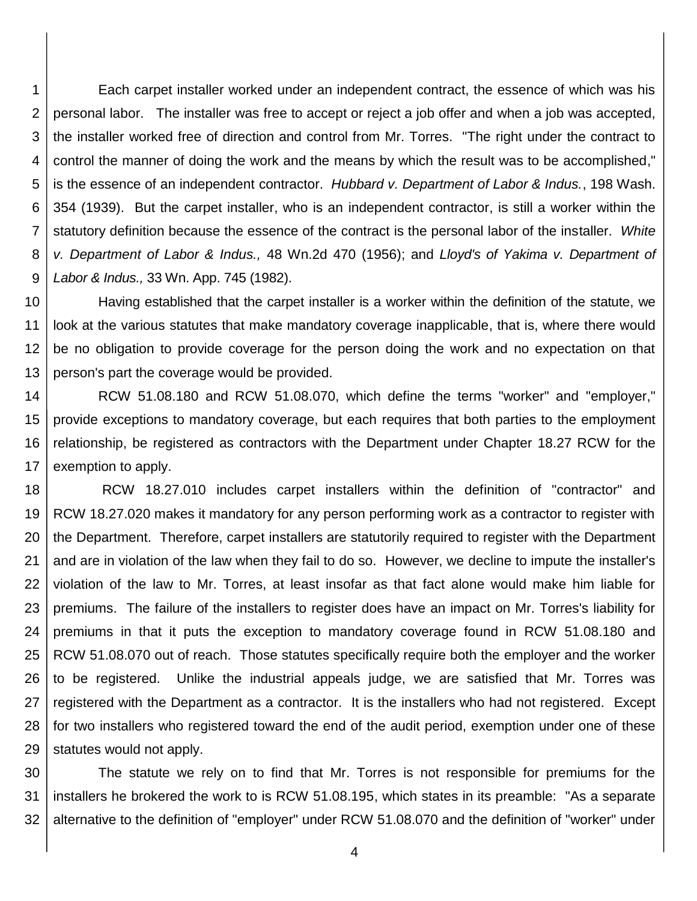1 2 3 4 5 6 7 8 9 Each carpet installer worked under an independent contract, the essence of which was his personal labor. The installer was free to accept or reject a job offer and when a job was accepted, the installer worked free of direction and control from Mr. Torres. "The right under the contract to control the manner of doing the work and the means by which the result was to be accomplished," is the essence of an independent contractor. *Hubbard v. Department of Labor & Indus.*, 198 Wash. 354 (1939). But the carpet installer, who is an independent contractor, is still a worker within the statutory definition because the essence of the contract is the personal labor of the installer. *White v. Department of Labor & Indus.,* 48 Wn.2d 470 (1956); and *Lloyd's of Yakima v. Department of Labor & Indus.,* 33 Wn. App. 745 (1982).

10 11 12 13 Having established that the carpet installer is a worker within the definition of the statute, we look at the various statutes that make mandatory coverage inapplicable, that is, where there would be no obligation to provide coverage for the person doing the work and no expectation on that person's part the coverage would be provided.

14 15 16 17 RCW 51.08.180 and RCW 51.08.070, which define the terms "worker" and "employer," provide exceptions to mandatory coverage, but each requires that both parties to the employment relationship, be registered as contractors with the Department under Chapter 18.27 RCW for the exemption to apply.

18 19 20 21 22 23 24 25 26 27 28 29 RCW 18.27.010 includes carpet installers within the definition of "contractor" and RCW 18.27.020 makes it mandatory for any person performing work as a contractor to register with the Department. Therefore, carpet installers are statutorily required to register with the Department and are in violation of the law when they fail to do so. However, we decline to impute the installer's violation of the law to Mr. Torres, at least insofar as that fact alone would make him liable for premiums. The failure of the installers to register does have an impact on Mr. Torres's liability for premiums in that it puts the exception to mandatory coverage found in RCW 51.08.180 and RCW 51.08.070 out of reach. Those statutes specifically require both the employer and the worker to be registered. Unlike the industrial appeals judge, we are satisfied that Mr. Torres was registered with the Department as a contractor. It is the installers who had not registered. Except for two installers who registered toward the end of the audit period, exemption under one of these statutes would not apply.

30 31 32 The statute we rely on to find that Mr. Torres is not responsible for premiums for the installers he brokered the work to is RCW 51.08.195, which states in its preamble: "As a separate alternative to the definition of "employer" under RCW 51.08.070 and the definition of "worker" under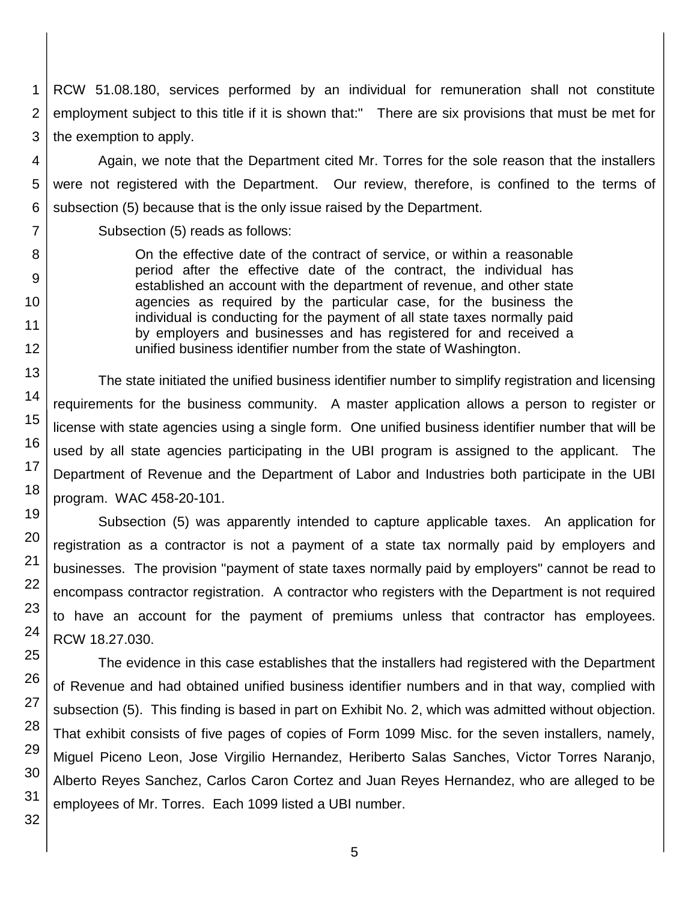1 2 3 RCW 51.08.180, services performed by an individual for remuneration shall not constitute employment subject to this title if it is shown that:" There are six provisions that must be met for the exemption to apply.

4 5 6 Again, we note that the Department cited Mr. Torres for the sole reason that the installers were not registered with the Department. Our review, therefore, is confined to the terms of subsection (5) because that is the only issue raised by the Department.

Subsection (5) reads as follows:

On the effective date of the contract of service, or within a reasonable period after the effective date of the contract, the individual has established an account with the department of revenue, and other state agencies as required by the particular case, for the business the individual is conducting for the payment of all state taxes normally paid by employers and businesses and has registered for and received a unified business identifier number from the state of Washington.

The state initiated the unified business identifier number to simplify registration and licensing requirements for the business community. A master application allows a person to register or license with state agencies using a single form. One unified business identifier number that will be used by all state agencies participating in the UBI program is assigned to the applicant. The Department of Revenue and the Department of Labor and Industries both participate in the UBI program. WAC 458-20-101.

Subsection (5) was apparently intended to capture applicable taxes. An application for registration as a contractor is not a payment of a state tax normally paid by employers and businesses. The provision "payment of state taxes normally paid by employers" cannot be read to encompass contractor registration. A contractor who registers with the Department is not required to have an account for the payment of premiums unless that contractor has employees. RCW 18.27.030.

The evidence in this case establishes that the installers had registered with the Department of Revenue and had obtained unified business identifier numbers and in that way, complied with subsection (5). This finding is based in part on Exhibit No. 2, which was admitted without objection. That exhibit consists of five pages of copies of Form 1099 Misc. for the seven installers, namely, Miguel Piceno Leon, Jose Virgilio Hernandez, Heriberto Salas Sanches, Victor Torres Naranjo, Alberto Reyes Sanchez, Carlos Caron Cortez and Juan Reyes Hernandez, who are alleged to be employees of Mr. Torres. Each 1099 listed a UBI number.

7

8

9

10

11

12

13

14

15

16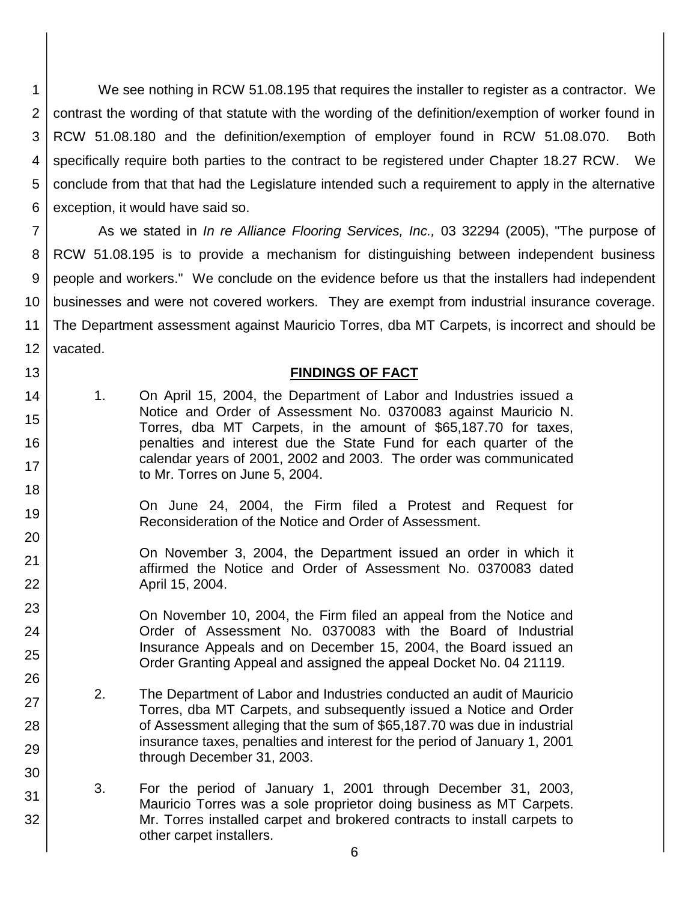1 2 3 4 5 6 We see nothing in RCW 51.08.195 that requires the installer to register as a contractor. We contrast the wording of that statute with the wording of the definition/exemption of worker found in RCW 51.08.180 and the definition/exemption of employer found in RCW 51.08.070. Both specifically require both parties to the contract to be registered under Chapter 18.27 RCW. We conclude from that that had the Legislature intended such a requirement to apply in the alternative exception, it would have said so.

7 8 9 10 11 12 As we stated in *In re Alliance Flooring Services, Inc.,* 03 32294 (2005), "The purpose of RCW 51.08.195 is to provide a mechanism for distinguishing between independent business people and workers." We conclude on the evidence before us that the installers had independent businesses and were not covered workers. They are exempt from industrial insurance coverage. The Department assessment against Mauricio Torres, dba MT Carpets, is incorrect and should be vacated.

### **FINDINGS OF FACT**

14 15 16 17 1. On April 15, 2004, the Department of Labor and Industries issued a Notice and Order of Assessment No. 0370083 against Mauricio N. Torres, dba MT Carpets, in the amount of \$65,187.70 for taxes, penalties and interest due the State Fund for each quarter of the calendar years of 2001, 2002 and 2003. The order was communicated to Mr. Torres on June 5, 2004.

13

18

23

24 25

26

27

28

29

30

31

- 19 20 On June 24, 2004, the Firm filed a Protest and Request for Reconsideration of the Notice and Order of Assessment.
- 21 22 On November 3, 2004, the Department issued an order in which it affirmed the Notice and Order of Assessment No. 0370083 dated April 15, 2004.
	- On November 10, 2004, the Firm filed an appeal from the Notice and Order of Assessment No. 0370083 with the Board of Industrial Insurance Appeals and on December 15, 2004, the Board issued an Order Granting Appeal and assigned the appeal Docket No. 04 21119.
		- 2. The Department of Labor and Industries conducted an audit of Mauricio Torres, dba MT Carpets, and subsequently issued a Notice and Order of Assessment alleging that the sum of \$65,187.70 was due in industrial insurance taxes, penalties and interest for the period of January 1, 2001 through December 31, 2003.
			- 3. For the period of January 1, 2001 through December 31, 2003, Mauricio Torres was a sole proprietor doing business as MT Carpets. Mr. Torres installed carpet and brokered contracts to install carpets to other carpet installers.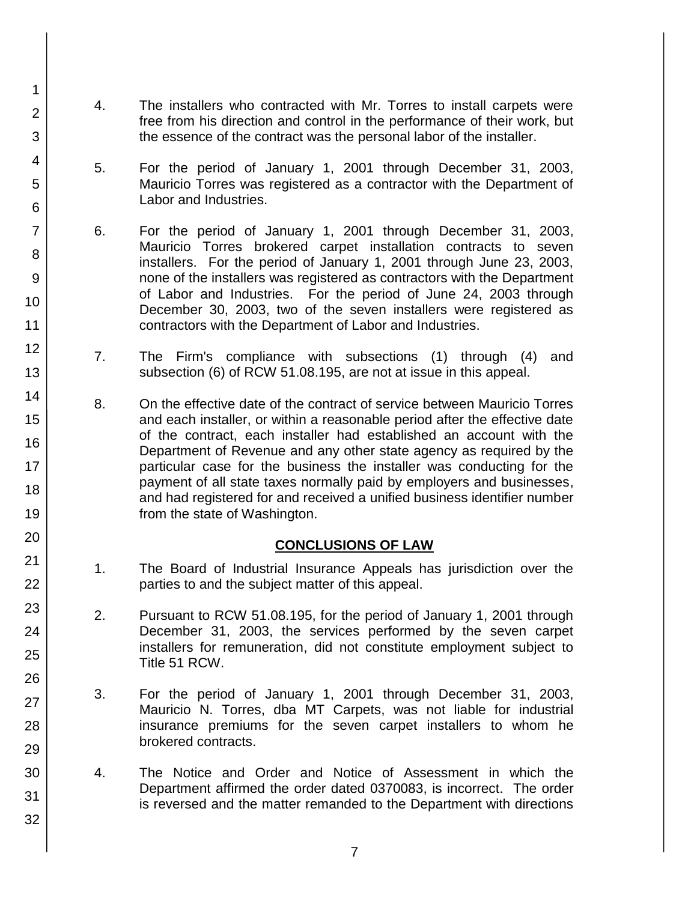4. The installers who contracted with Mr. Torres to install carpets were free from his direction and control in the performance of their work, but the essence of the contract was the personal labor of the installer.

1

2

3

4

5

6

7

8

9

10

11

12

13

14

15

16

17 18

19

20

21

22

23

24

25

26

27

28

29

30

31

32

- 5. For the period of January 1, 2001 through December 31, 2003, Mauricio Torres was registered as a contractor with the Department of Labor and Industries.
- 6. For the period of January 1, 2001 through December 31, 2003, Mauricio Torres brokered carpet installation contracts to seven installers. For the period of January 1, 2001 through June 23, 2003, none of the installers was registered as contractors with the Department of Labor and Industries. For the period of June 24, 2003 through December 30, 2003, two of the seven installers were registered as contractors with the Department of Labor and Industries.
- 7. The Firm's compliance with subsections (1) through (4) and subsection (6) of RCW 51.08.195, are not at issue in this appeal.
- 8. On the effective date of the contract of service between Mauricio Torres and each installer, or within a reasonable period after the effective date of the contract, each installer had established an account with the Department of Revenue and any other state agency as required by the particular case for the business the installer was conducting for the payment of all state taxes normally paid by employers and businesses, and had registered for and received a unified business identifier number from the state of Washington.

# **CONCLUSIONS OF LAW**

- 1. The Board of Industrial Insurance Appeals has jurisdiction over the parties to and the subject matter of this appeal.
- 2. Pursuant to RCW 51.08.195, for the period of January 1, 2001 through December 31, 2003, the services performed by the seven carpet installers for remuneration, did not constitute employment subject to Title 51 RCW.
- 3. For the period of January 1, 2001 through December 31, 2003, Mauricio N. Torres, dba MT Carpets, was not liable for industrial insurance premiums for the seven carpet installers to whom he brokered contracts.
- 4. The Notice and Order and Notice of Assessment in which the Department affirmed the order dated 0370083, is incorrect. The order is reversed and the matter remanded to the Department with directions